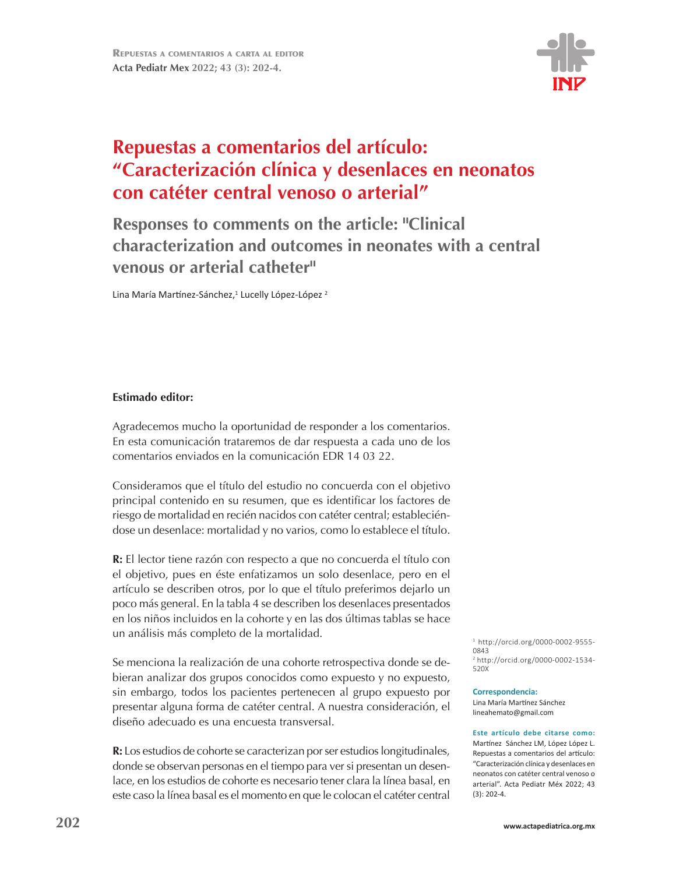

## **Repuestas a comentarios del artículo: "Caracterización clínica y desenlaces en neonatos con catéter central venoso o arterial"**

**Responses to comments on the article: "Clinical characterization and outcomes in neonates with a central venous or arterial catheter"**

Lina María Martínez-Sánchez,<sup>1</sup> Lucelly López-López<sup>2</sup>

## **Estimado editor:**

Agradecemos mucho la oportunidad de responder a los comentarios. En esta comunicación trataremos de dar respuesta a cada uno de los comentarios enviados en la comunicación EDR 14 03 22.

Consideramos que el título del estudio no concuerda con el objetivo principal contenido en su resumen, que es identificar los factores de riesgo de mortalidad en recién nacidos con catéter central; estableciéndose un desenlace: mortalidad y no varios, como lo establece el título.

**R:** El lector tiene razón con respecto a que no concuerda el título con el objetivo, pues en éste enfatizamos un solo desenlace, pero en el artículo se describen otros, por lo que el título preferimos dejarlo un poco más general. En la tabla 4 se describen los desenlaces presentados en los niños incluidos en la cohorte y en las dos últimas tablas se hace un análisis más completo de la mortalidad.

Se menciona la realización de una cohorte retrospectiva donde se debieran analizar dos grupos conocidos como expuesto y no expuesto, sin embargo, todos los pacientes pertenecen al grupo expuesto por presentar alguna forma de catéter central. A nuestra consideración, el diseño adecuado es una encuesta transversal.

**R:** Los estudios de cohorte se caracterizan por ser estudios longitudinales, donde se observan personas en el tiempo para ver si presentan un desenlace, en los estudios de cohorte es necesario tener clara la línea basal, en este caso la línea basal es el momento en que le colocan el catéter central

<sup>1</sup> http://orcid.org/0000-0002-9555-0843 <sup>2</sup> http://orcid.org/0000-0002-1534-

520X

**Correspondencia:** Lina María Martínez Sánchez lineahemato@gmail.com

**Este artículo debe citarse como:**  Martínez Sánchez LM, López López L. Repuestas a comentarios del artículo: "Caracterización clínica y desenlaces en neonatos con catéter central venoso o arterial". Acta Pediatr Méx 2022; 43 (3): 202-4.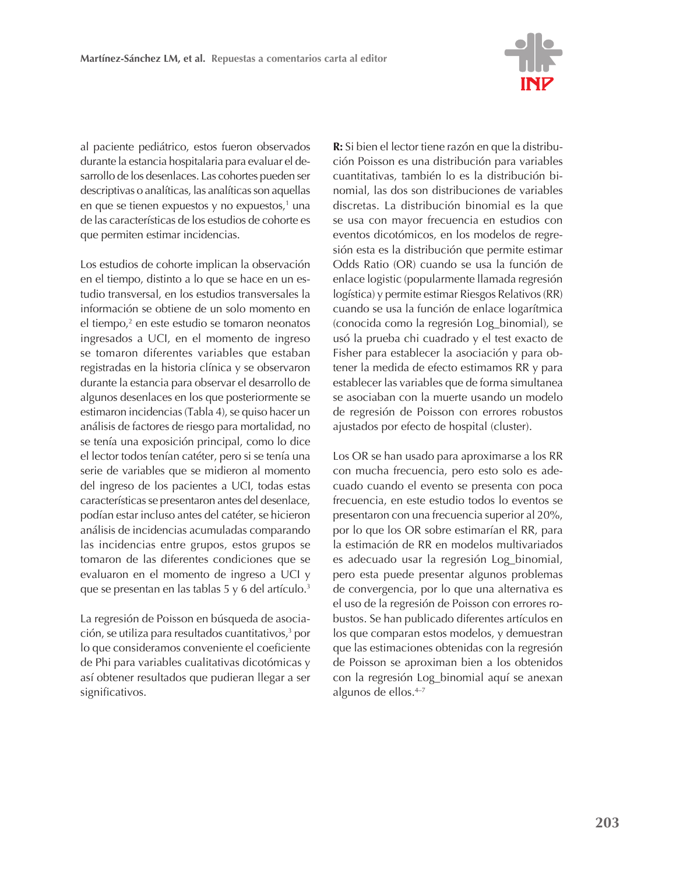

al paciente pediátrico, estos fueron observados durante la estancia hospitalaria para evaluar el desarrollo de los desenlaces. Las cohortes pueden ser descriptivas o analíticas, las analíticas son aquellas en que se tienen expuestos y no expuestos,<sup>1</sup> una de las características de los estudios de cohorte es que permiten estimar incidencias.

Los estudios de cohorte implican la observación en el tiempo, distinto a lo que se hace en un estudio transversal, en los estudios transversales la información se obtiene de un solo momento en el tiempo,<sup>2</sup> en este estudio se tomaron neonatos ingresados a UCI, en el momento de ingreso se tomaron diferentes variables que estaban registradas en la historia clínica y se observaron durante la estancia para observar el desarrollo de algunos desenlaces en los que posteriormente se estimaron incidencias (Tabla 4), se quiso hacer un análisis de factores de riesgo para mortalidad, no se tenía una exposición principal, como lo dice el lector todos tenían catéter, pero si se tenía una serie de variables que se midieron al momento del ingreso de los pacientes a UCI, todas estas características se presentaron antes del desenlace, podían estar incluso antes del catéter, se hicieron análisis de incidencias acumuladas comparando las incidencias entre grupos, estos grupos se tomaron de las diferentes condiciones que se evaluaron en el momento de ingreso a UCI y que se presentan en las tablas 5 y 6 del artículo.<sup>3</sup>

La regresión de Poisson en búsqueda de asociación, se utiliza para resultados cuantitativos,<sup>3</sup> por lo que consideramos conveniente el coeficiente de Phi para variables cualitativas dicotómicas y así obtener resultados que pudieran llegar a ser significativos.

R: Si bien el lector tiene razón en que la distribución Poisson es una distribución para variables cuantitativas, también lo es la distribución binomial. las dos son distribuciones de variables discretas. La distribución binomial es la que se usa con mayor frecuencia en estudios con eventos dicotómicos, en los modelos de regresión esta es la distribución que permite estimar Odds Ratio (OR) cuando se usa la función de enlace logistic (popularmente llamada regresión logística) y permite estimar Riesgos Relativos (RR) cuando se usa la función de enlace logarítmica (conocida como la regresión Log\_binomial), se usó la prueba chi cuadrado y el test exacto de Fisher para establecer la asociación y para obtener la medida de efecto estimamos RR y para establecer las variables que de forma simultanea se asociaban con la muerte usando un modelo de regresión de Poisson con errores robustos ajustados por efecto de hospital (cluster).

Los OR se han usado para aproximarse a los RR con mucha frecuencia, pero esto solo es adecuado cuando el evento se presenta con poca frecuencia, en este estudio todos lo eventos se presentaron con una frecuencia superior al 20%, por lo que los OR sobre estimarían el RR, para la estimación de RR en modelos multivariados es adecuado usar la regresión Log\_binomial, pero esta puede presentar algunos problemas de convergencia, por lo que una alternativa es el uso de la regresión de Poisson con errores robustos. Se han publicado diferentes artículos en los que comparan estos modelos, y demuestran que las estimaciones obtenidas con la regresión de Poisson se aproximan bien a los obtenidos con la regresión Log\_binomial aquí se anexan algunos de ellos.<sup>4-7</sup>